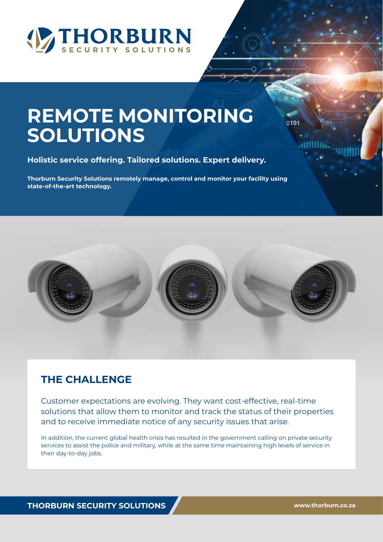

# **REMOTE MONITORING SOLUTIONS**

**Holistic service offering. Tailored solutions. Expert delivery.**

**Thorburn Security Solutions remotely manage, control and monitor your facility using state-of-the-art technology.**



## **THE CHALLENGE**

Customer expectations are evolving. They want cost-effective, real-time solutions that allow them to monitor and track the status of their properties and to receive immediate notice of any security issues that arise.

In addition, the current global health crisis has resulted in the government calling on private security services to assist the police and military, while at the same time maintaining high levels of service in their day-to-day jobs.

**THORBURN SECURITY SOLUTIONS www.thorburn.co.za**

0101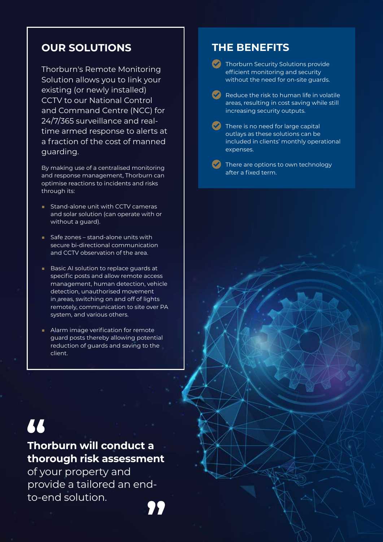## **OUR SOLUTIONS**

Thorburn's Remote Monitoring Solution allows you to Iink your existing (or newly installed) CCTV to our National Control and Command Centre (NCC) for 24/7/365 surveillance and realtime armed response to alerts at a fraction of the cost of manned guarding.

By making use of a centralised monitoring and response management, Thorburn can optimise reactions to incidents and risks through its:

- Stand-alone unit with CCTV cameras and solar solution (can operate with or without a guard).
- Safe zones stand-alone units with secure bi-directional communication and CCTV observation of the area.
- Basic AI solution to replace guards at specific posts and allow remote access management, human detection, vehicle detection, unauthorised movement in areas, switching on and off of lights remotely, communication to site over PA system, and various others.
- Alarm image verification for remote guard posts thereby allowing potential reduction of guards and saving to the client.

# 77

## **Thorburn will conduct a thorough risk assessment**

of your property and provide a tailored an endto-end solution.

## **THE BENEFITS**

**Thorburn Security Solutions provide** efficient monitoring and security without the need for on-site guards.

- Reduce the risk to human life in volatile areas, resulting in cost saving while still increasing security outputs.
- $\blacktriangleright$  There is no need for large capital outlays as these solutions can be included in clients' monthly operational expenses.

There are options to own technology after a fixed term.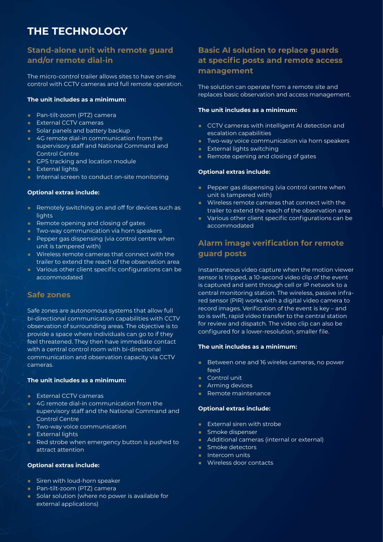## **THE TECHNOLOGY**

### **Stand-alone unit with remote guard and/or remote dial-in**

The micro-control trailer allows sites to have on-site control with CCTV cameras and full remote operation.

#### **The unit includes as a minimum:**

- Pan-tilt-zoom (PTZ) camera
- External CCTV cameras
- Solar panels and battery backup
- 4G remote dial-in communication from the supervisory staff and National Command and Control Centre
- GPS tracking and location module
- External lights
- Internal screen to conduct on-site monitoring

#### **Optional extras include:**

- Remotely switching on and off for devices such as lights
- Remote opening and closing of gates
- Two-way communication via horn speakers
- Pepper gas dispensing (via control centre when unit is tampered with)
- Wireless remote cameras that connect with the trailer to extend the reach of the observation area
- Various other client specific configurations can be accommodated

#### **Safe zones**

Safe zones are autonomous systems that allow full bi-directional communication capabilities with CCTV observation of surrounding areas. The objective is to provide a space where individuals can go to if they feel threatened. They then have immediate contact with a central control room with bi-directional communication and observation capacity via CCTV cameras.

#### **The unit includes as a minimum:**

- External CCTV cameras
- 4G remote dial-in communication from the supervisory staff and the National Command and Control Centre
- Two-way voice communication
- External lights
- Red strobe when emergency button is pushed to attract attention

#### **Optional extras include:**

- Siren with loud-horn speaker
- Pan-tilt-zoom (PTZ) camera
- Solar solution (where no power is available for external applications)

#### **Basic AI solution to replace guards at specific posts and remote access management**

The solution can operate from a remote site and replaces basic observation and access management.

#### **The unit includes as a minimum:**

- CCTV cameras with intelligent AI detection and escalation capabilities
- Two-way voice communication via horn speakers
- External lights switching
- Remote opening and closing of gates

#### **Optional extras include:**

- Pepper gas dispensing (via control centre when unit is tampered with)
- Wireless remote cameras that connect with the trailer to extend the reach of the observation area
- Various other client specific configurations can be accommodated

## **Alarm image verification for remote guard posts**

Instantaneous video capture when the motion viewer sensor is tripped, a 10-second video clip of the event is captured and sent through cell or IP network to a central monitoring station. The wireless, passive infrared sensor (PIR) works with a digital video camera to record images. Verification of the event is key – and so is swift, rapid video transfer to the central station for review and dispatch. The video clip can also be configured for a lower-resolution, smaller file.

#### **The unit includes as a minimum:**

- Between one and 16 wireles cameras, no power feed
- Control unit
- Arming devices
- Remote maintenance

#### **Optional extras include:**

- External siren with strobe
- Smoke dispenser
- Additional cameras (internal or external)
- Smoke detectors
- Intercom units
- Wireless door contacts